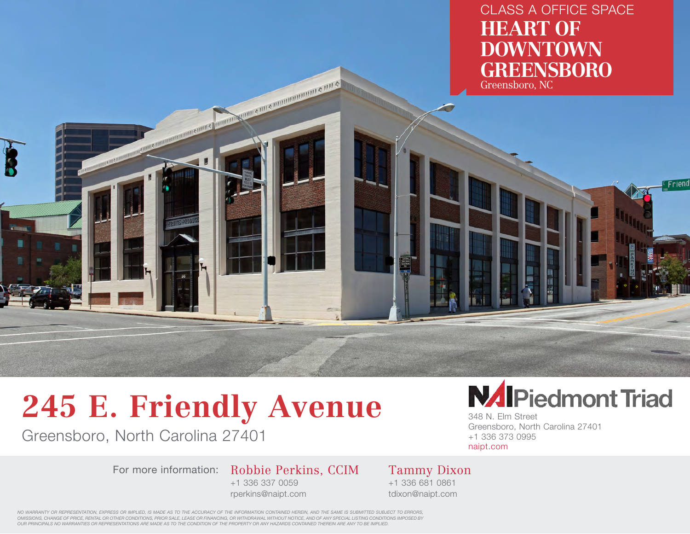CLASS A OFFICE SPACE **HEART OF DOWNTOWN GREENSBORO** Greensboro, NC

Friend

**245 E. Friendly Avenue**

Greensboro, North Carolina 27401

For more information: Robbie Perkins, CCIM +1 336 337 0059

MARIA AND A DIVISION OF THE A

rperkins@naipt.com



348 N. Elm Street Greensboro, North Carolina 27401 +1 336 373 0995 naipt.com

Tammy Dixon +1 336 681 0861 tdixon@naipt.com

*NO WARRANTY OR REPRESENTATION, EXPRESS OR IMPLIED, IS MADE AS TO THE ACCURACY OF THE INFORMATION CONTAINED HEREIN, AND THE SAME IS SUBMITTED SUBJECT TO ERRORS, OMISSIONS, CHANGE OF PRICE, RENTAL OR OTHER CONDITIONS, PRIOR SALE, LEASE OR FINANCING, OR WITHDRAWAL WITHOUT NOTICE, AND OF ANY SPECIAL LISTING CONDITIONS IMPOSED BY OUR PRINCIPALS NO WARRANTIES OR REPRESENTATIONS ARE MADE AS TO THE CONDITION OF THE PROPERTY OR ANY HAZARDS CONTAINED THEREIN ARE ANY TO BE IMPLIED.*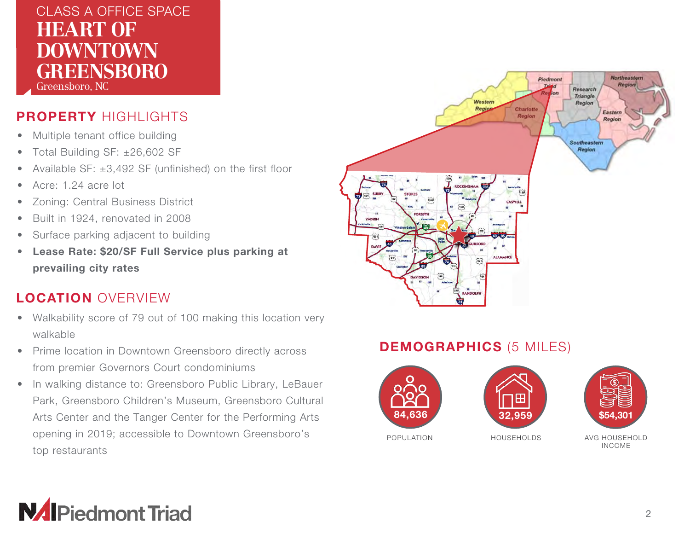#### **HEART UF<br>DOM/NITOM/NI ELL'UVENT L'UVENT DU L'UVENT DU L'UVENT DU L'UVENT DU L'UNE DE L'UNE DE L'UNE DE L'UNE DE L'UNE DE L'UNE DE L'U<br>ELLE DU L'UNE DE L'UNE DE L'UNE DE L'UNE DE L'UNE DE L'UNE DE L'UNE DE L'UNE DE L'UNE DE L'UNE DE L'UNE DE L'** CLASS A OFFICE SPACE **HEART OF DOWNTOWN GREENSBORO** Greensboro, NC

PROPERTY HIGHLIGHTS

- Multiple tenant office building
- Total Building SF: ±26,602 SF
- Available SF:  $\pm 3,492$  SF (unfinished) on the first floor
- Acre: 1.24 acre lot
- Zoning: Central Business District
- Built in 1924, renovated in 2008
- Surface parking adjacent to building
- Lease Rate: \$20/SF Full Service plus parking at prevailing city rates

### LOCATION OVERVIEW

- Walkability score of 79 out of 100 making this location very walkable
- Prime location in Downtown Greensboro directly across from premier Governors Court condominiums
- In walking distance to: Greensboro Public Library, LeBauer Park, Greensboro Children's Museum, Greensboro Cultural Arts Center and the Tanger Center for the Performing Arts opening in 2019; accessible to Downtown Greensboro's top restaurants



#### DEMOGRAPHICS (5 MILES)



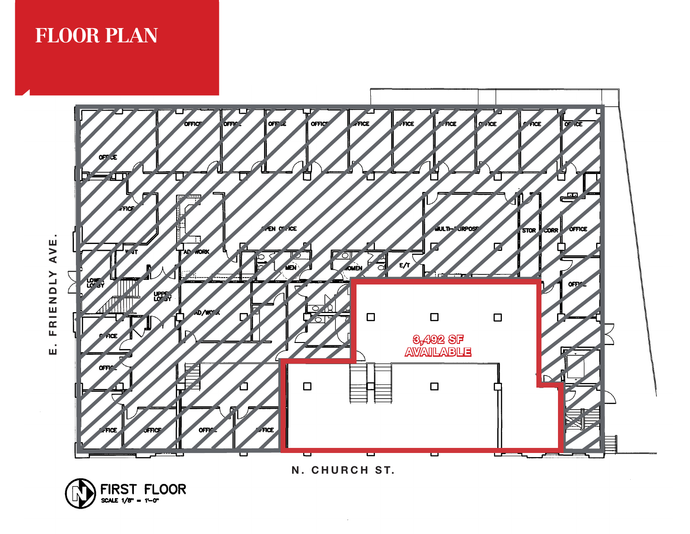## **FLOOR PLAN**



N. CHURCH ST.

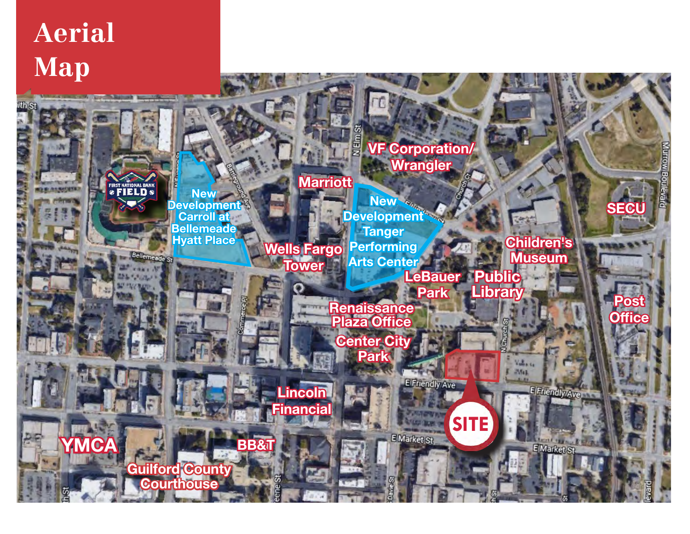# $\bf{Aerial}$ **EVENT Map**